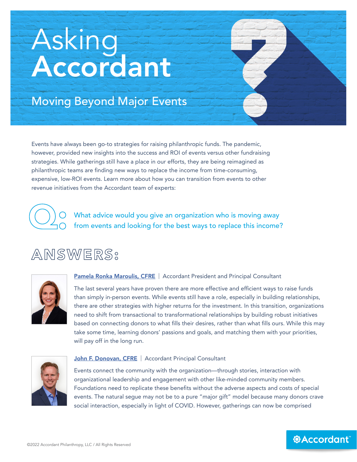# Asking Accordant

## Moving Beyond Major Events

Events have always been go-to strategies for raising philanthropic funds. The pandemic, however, provided new insights into the success and ROI of events versus other fundraising strategies. While gatherings still have a place in our efforts, they are being reimagined as philanthropic teams are finding new ways to replace the income from time-consuming, expensive, low-ROI events. Learn more about how you can transition from events to other revenue initiatives from the Accordant team of experts:



What advice would you give an organization who is moving away from events and looking for the best ways to replace this income?

## ANSWERS:



[Pamela Ronka Maroulis, CFRE](https://www.accordantphilanthropy.com/dt_team/pamela-r-maroulis-cfre/) | Accordant President and Principal Consultant

The last several years have proven there are more effective and efficient ways to raise funds than simply in-person events. While events still have a role, especially in building relationships, there are other strategies with higher returns for the investment. In this transition, organizations need to shift from transactional to transformational relationships by building robust initiatives based on connecting donors to what fills their desires, rather than what fills ours. While this may take some time, learning donors' passions and goals, and matching them with your priorities, will pay off in the long run.



#### [John F. Donovan, CFRE](https://www.accordantphilanthropy.com/dt_team/john-f-donovan-cfre/) | Accordant Principal Consultant

Events connect the community with the organization—through stories, interaction with organizational leadership and engagement with other like-minded community members. Foundations need to replicate these benefits without the adverse aspects and costs of special events. The natural segue may not be to a pure "major gift" model because many donors crave social interaction, especially in light of COVID. However, gatherings can now be comprised

*<b>@Accordant*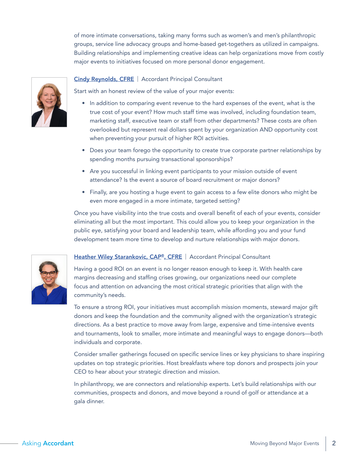of more intimate conversations, taking many forms such as women's and men's philanthropic groups, service line advocacy groups and home-based get-togethers as utilized in campaigns. Building relationships and implementing creative ideas can help organizations move from costly major events to initiatives focused on more personal donor engagement.

#### [Cindy Reynolds, CFRE](https://www.accordantphilanthropy.com/dt_team/cindy-reynolds-cfre/) | Accordant Principal Consultant



- In addition to comparing event revenue to the hard expenses of the event, what is the true cost of your event? How much staff time was involved, including foundation team, marketing staff, executive team or staff from other departments? These costs are often overlooked but represent real dollars spent by your organization AND opportunity cost when preventing your pursuit of higher ROI activities.
- Does your team forego the opportunity to create true corporate partner relationships by spending months pursuing transactional sponsorships?
- Are you successful in linking event participants to your mission outside of event attendance? Is the event a source of board recruitment or major donors?
- Finally, are you hosting a huge event to gain access to a few elite donors who might be even more engaged in a more intimate, targeted setting?

Once you have visibility into the true costs and overall benefit of each of your events, consider eliminating all but the most important. This could allow you to keep your organization in the public eye, satisfying your board and leadership team, while affording you and your fund development team more time to develop and nurture relationships with major donors.

#### [Heather Wiley Starankovic, CAP®, CFRE](https://www.accordantphilanthropy.com/dt_team/heather-wiley-starankovic-cap-cfre/) | Accordant Principal Consultant

Having a good ROI on an event is no longer reason enough to keep it. With health care margins decreasing and staffing crises growing, our organizations need our complete focus and attention on advancing the most critical strategic priorities that align with the community's needs.

To ensure a strong ROI, your initiatives must accomplish mission moments, steward major gift donors and keep the foundation and the community aligned with the organization's strategic directions. As a best practice to move away from large, expensive and time-intensive events and tournaments, look to smaller, more intimate and meaningful ways to engage donors—both individuals and corporate.

Consider smaller gatherings focused on specific service lines or key physicians to share inspiring updates on top strategic priorities. Host breakfasts where top donors and prospects join your CEO to hear about your strategic direction and mission.

In philanthropy, we are connectors and relationship experts. Let's build relationships with our communities, prospects and donors, and move beyond a round of golf or attendance at a gala dinner.